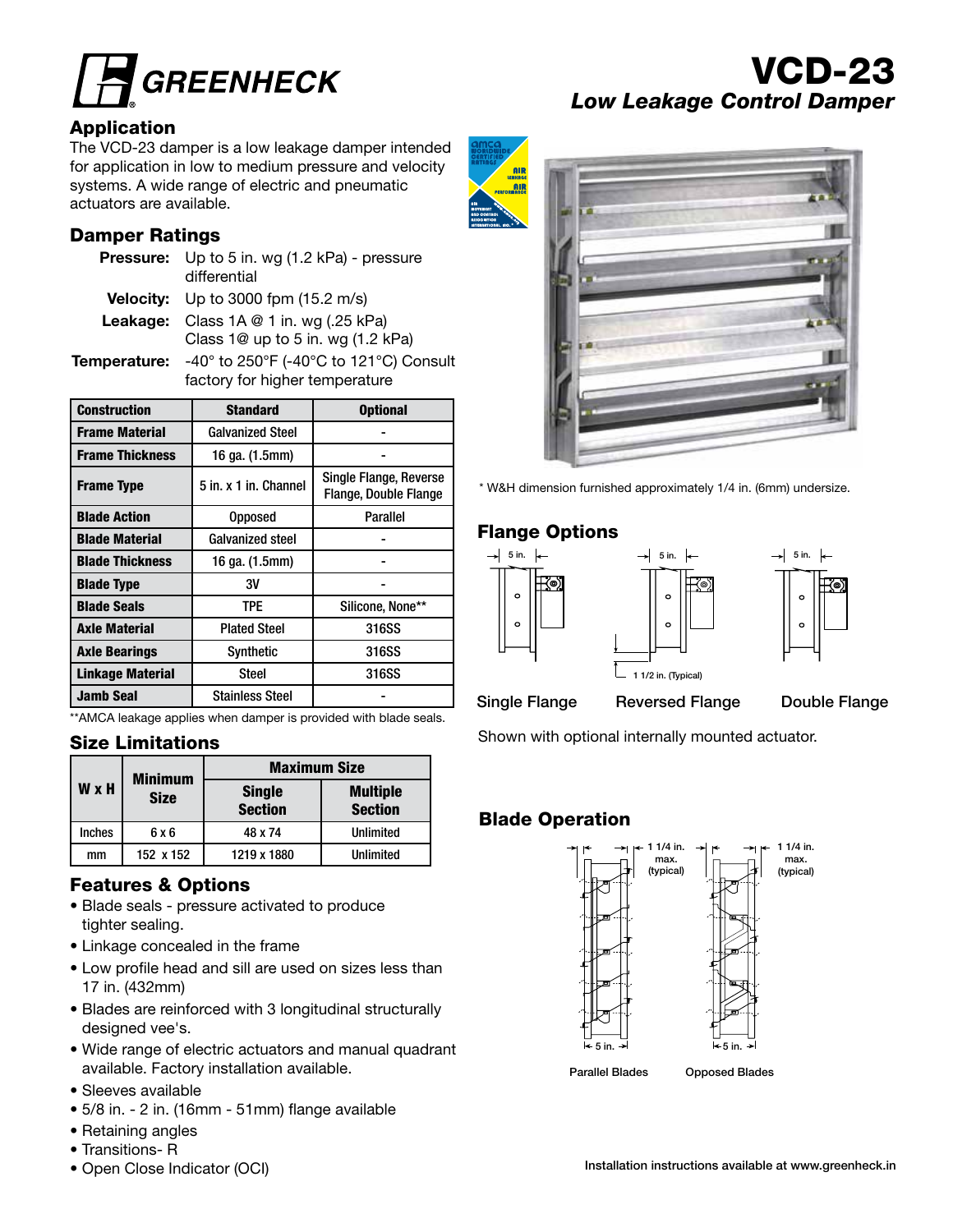

### Application

The VCD-23 damper is a low leakage damper intended for application in low to medium pressure and velocity systems. A wide range of electric and pneumatic actuators are available.

# Damper Ratings

| <b>Pressure:</b> Up to 5 in. wg (1.2 kPa) - pressure<br>differential |
|----------------------------------------------------------------------|
| <b>Velocity:</b> Up to 3000 fpm $(15.2 \text{ m/s})$                 |
| <b>Leakage:</b> Class $1A \otimes 1$ in. wg (.25 kPa)                |
| Class 1@ up to 5 in. wg (1.2 kPa)                                    |

Temperature: -40° to 250°F (-40°C to 121°C) Consult factory for higher temperature

| <b>Construction</b>     | <b>Standard</b>         | <b>Optional</b>                                        |  |
|-------------------------|-------------------------|--------------------------------------------------------|--|
| <b>Frame Material</b>   | <b>Galvanized Steel</b> |                                                        |  |
| <b>Frame Thickness</b>  | 16 ga. (1.5mm)          |                                                        |  |
| <b>Frame Type</b>       | 5 in. x 1 in. Channel   | Single Flange, Reverse<br><b>Flange, Double Flange</b> |  |
| <b>Blade Action</b>     | <b>Opposed</b>          | Parallel                                               |  |
| <b>Blade Material</b>   | Galvanized steel        |                                                        |  |
| <b>Blade Thickness</b>  | 16 ga. (1.5mm)          |                                                        |  |
| <b>Blade Type</b>       | 3V                      |                                                        |  |
| <b>Blade Seals</b>      | TPE                     | Silicone, None**                                       |  |
| <b>Axle Material</b>    | <b>Plated Steel</b>     | 316SS                                                  |  |
| <b>Axle Bearings</b>    | Synthetic               | 316SS                                                  |  |
| <b>Linkage Material</b> | <b>Steel</b>            | 316SS                                                  |  |
| <b>Jamb Seal</b>        | <b>Stainless Steel</b>  |                                                        |  |

\*\*AMCA leakage applies when damper is provided with blade seals.

### Size Limitations

|              | <b>Minimum</b> | <b>Maximum Size</b>             |                                   |  |  |  |
|--------------|----------------|---------------------------------|-----------------------------------|--|--|--|
| <b>W</b> x H | <b>Size</b>    | <b>Single</b><br><b>Section</b> | <b>Multiple</b><br><b>Section</b> |  |  |  |
| Inches       | 6 x 6          | 48 x 74                         | <b>Unlimited</b>                  |  |  |  |
| mm           | 152 x 152      | 1219 x 1880                     | Unlimited                         |  |  |  |

# Features & Options

- Blade seals pressure activated to produce tighter sealing.
- Linkage concealed in the frame
- Low profile head and sill are used on sizes less than 17 in. (432mm)
- Blades are reinforced with 3 longitudinal structurally designed vee's.
- Wide range of electric actuators and manual quadrant available. Factory installation available.
- Sleeves available
- 5/8 in. 2 in. (16mm 51mm) flange available
- Retaining angles
- Transitions- R
- Open Close Indicator (OCI)

# VCD-23 *Low Leakage Control Damper*



\* W&H dimension furnished approximately 1/4 in. (6mm) undersize.

# Flange Options





Single Flange Reversed Flange Double Flange

1 1/2 in. (Typical)

Shown with optional internally mounted actuator.

# Blade Operation

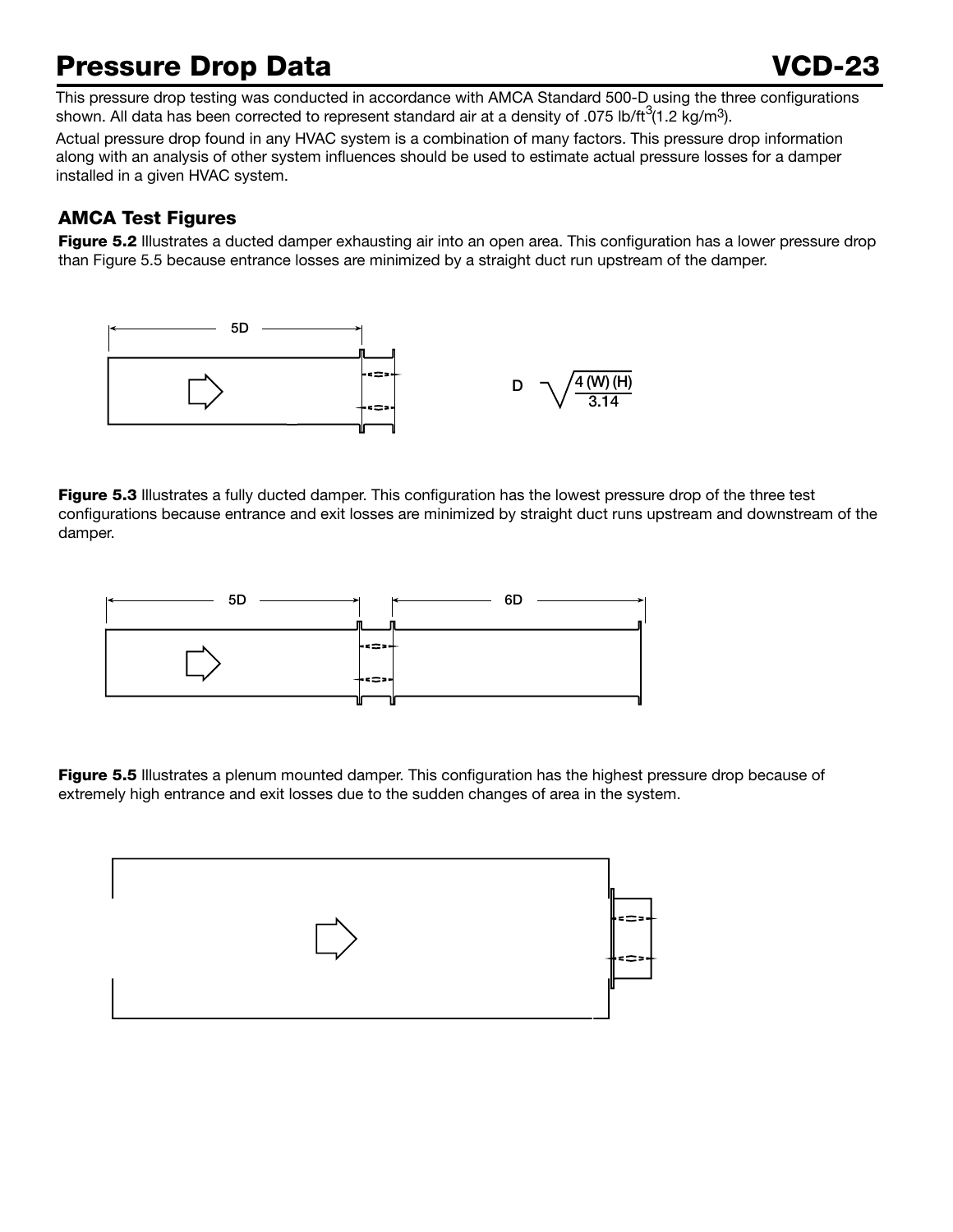# Pressure Drop Data VCD-23

This pressure drop testing was conducted in accordance with AMCA Standard 500-D using the three configurations shown. All data has been corrected to represent standard air at a density of .075 lb/ft $^3$ (1.2 kg/m<sup>3</sup>).

Actual pressure drop found in any HVAC system is a combination of many factors. This pressure drop information along with an analysis of other system influences should be used to estimate actual pressure losses for a damper installed in a given HVAC system.

# AMCA Test Figures

Figure 5.2 Illustrates a ducted damper exhausting air into an open area. This configuration has a lower pressure drop than Figure 5.5 because entrance losses are minimized by a straight duct run upstream of the damper.



Figure 5.3 Illustrates a fully ducted damper. This configuration has the lowest pressure drop of the three test configurations because entrance and exit losses are minimized by straight duct runs upstream and downstream of the damper.



Figure 5.5 Illustrates a plenum mounted damper. This configuration has the highest pressure drop because of extremely high entrance and exit losses due to the sudden changes of area in the system.

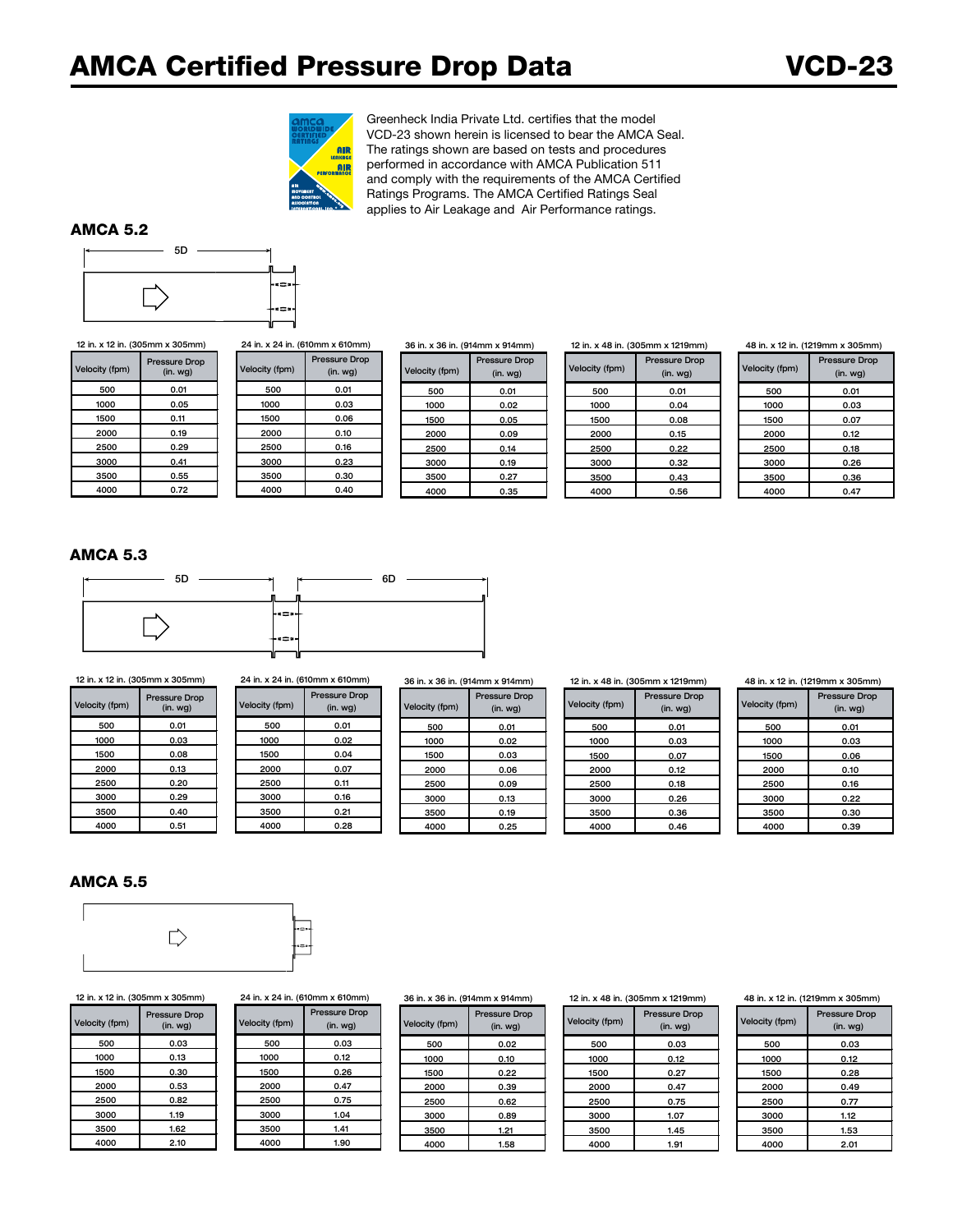

Greenheck India Private Ltd. certifies that the model VCD-23 shown herein is licensed to bear the AMCA Seal. The ratings shown are based on tests and procedures performed in accordance with AMCA Publication 511 and comply with the requirements of the AMCA Certified Ratings Programs. The AMCA Certified Ratings Seal applies to Air Leakage and Air Performance ratings.

#### AMCA 5.2



Velocity (fpm) Pressure Drop  $(in.$  wg $)$ 500 | 0.01 | 500 | 0.01 | 500 | 0.01 1000 | 0.05 | 1000 | 0.03 | 1000 | 0.02 1500 | 0.11 | 1500 | 0.06 | 1500 | 0.05 2000 | 0.19 | 2000 | 0.10 | 2000 | 0.09 2500 | 0.29 | 2500 | 0.16 | 2500 | 0.14 3000 | 0.41 | 3000 | 0.23 | 3000 | 0.19 3500 | 0.55 | 3500 | 0.30 | 3500 | 0.27 4000 | 0.72 | || 4000 | 0.40 || || 4000 || 0.35 12 in. x 12 in. (305mm x 305mm) 24 in. x 24 in. (610mm x 610mm) 36 in. x 36 in. (914mm x 914mm)

| /elocity (fpm) | <b>Pressure Drop</b><br>$(in.$ wg $)$ |
|----------------|---------------------------------------|
| 500            | 0.01                                  |
| 1000           | 0.03                                  |
| 1500           | 0.06                                  |
| 2000           | 0.10                                  |
| 2500           | 0.16                                  |
| 3000           | 0.23                                  |
| 3500           | 0.30                                  |
| 4000           | 0.40                                  |

Velocity (fpm) Pressure Drop (in. wg)

12 in. x 48 in. (305mm x 1219mm)

| Velocity (fpm) | <b>Pressure Drop</b><br>$(in.$ wg $)$ |
|----------------|---------------------------------------|
| 500            | 0.01                                  |
| 1000           | 0.04                                  |
| 1500           | 0.08                                  |
| 2000           | 0.15                                  |
| 2500           | 0.22                                  |
| 3000           | 0.32                                  |
| 3500           | 0.43                                  |
| 4000           | 0.56                                  |

48 in. x 12 in. (1219mm x 305mm)

| <b>Velocity (fpm)</b> | <b>Pressure Drop</b><br>$(in.$ wg $)$ |
|-----------------------|---------------------------------------|
| 500                   | 0.01                                  |
| 1000                  | 0.03                                  |
| 1500                  | 0.07                                  |
| 2000                  | 0.12                                  |
| 2500                  | 0.18                                  |
| 3000                  | 0.26                                  |
| 3500                  | 0.36                                  |
| 4000                  | 0.47                                  |

#### AMCA 5.3



 $(in.$  wg $)$ Velocity (fpm) Pressure Drop

5D

#### 12 in. x 12 in. (305mm x 305mm) 24 in. x 24 in. (610mm x 610mm) 36 in. x 36 in. (914mm x 914mm)

| ity (fpm) | <b>Pressure Drop</b><br>(in. <i>wq</i> ) | Velocity (fpm) | <b>Pressure Drop</b><br>(in. <i>wq</i> ) | Velocity (fpm) | <b>Pressure Drop</b><br>(in.wg) |
|-----------|------------------------------------------|----------------|------------------------------------------|----------------|---------------------------------|
| 500       | 0.01                                     | 500            | 0.01                                     | 500            | 0.01                            |
| 1000      | 0.03                                     | 1000           | 0.02                                     | 1000           | 0.02                            |
| 1500      | 0.08                                     | 1500           | 0.04                                     | 1500           | 0.03                            |
| 2000      | 0.13                                     | 2000           | 0.07                                     | 2000           | 0.06                            |
| 2500      | 0.20                                     | 2500           | 0.11                                     | 2500           | 0.09                            |
| 3000      | 0.29                                     | 3000           | 0.16                                     | 3000           | 0.13                            |
| 3500      | 0.40                                     | 3500           | 0.21                                     | 3500           | 0.19                            |
| 4000      | 0.51                                     | 4000           | 0.28                                     | 4000           | 0.25                            |

#### 12 in. x 48 in. (305mm x 1219mm)

| Velocity (fpm) | <b>Pressure Drop</b><br>$(in.$ wg $)$ |
|----------------|---------------------------------------|
| 500            | 0.01                                  |
| 1000           | 0.03                                  |
| 1500           | 0.07                                  |
| 2000           | 0.12                                  |
| 2500           | 0.18                                  |
| 3000           | 0.26                                  |
| 3500           | 0.36                                  |
| 4000           | 0.46                                  |

#### 48 in. x 12 in. (1219mm x 305mm)

| Velocity (fpm) | <b>Pressure Drop</b><br>$(in.$ wg $)$ |
|----------------|---------------------------------------|
| 500            | 0.01                                  |
| 1000           | 0.03                                  |
| 1500           | 0.06                                  |
| 2000           | 0.10                                  |
| 2500           | 0.16                                  |
| 3000           | 0.22                                  |
| 3500           | 0.30                                  |
| 4000           | 0.39                                  |

### AMCA 5.5



| Velocity (fpm) | <b>Pressure Drop</b><br>(in. <i>wg</i> ) | Velocity (fpm) | <b>Pressure Drop</b><br>(in. <i>wg</i> ) | Velocity (fpm) | Pressure<br>(in. w) |
|----------------|------------------------------------------|----------------|------------------------------------------|----------------|---------------------|
| 500            | 0.03                                     | 500            | 0.03                                     | 500            | 0.0                 |
| 1000           | 0.13                                     | 1000           | 0.12                                     | 1000           | 0.10                |
| 1500           | 0.30                                     | 1500           | 0.26                                     | 1500           | 0.21                |
| 2000           | 0.53                                     | 2000           | 0.47                                     | 2000           | 0.35                |
| 2500           | 0.82                                     | 2500           | 0.75                                     | 2500           | 0.6                 |
| 3000           | 1.19                                     | 3000           | 1.04                                     | 3000           | 0.8                 |
| 3500           | 1.62                                     | 3500           | 1.41                                     | 3500           | 1.21                |
| 4000           | 2.10                                     | 4000           | 1.90                                     | 4000           | 1.58                |

|                | 12 in. x 12 in. (305mm x 305mm)          |                | 24 in. x 24 in. (610mm x 610mm)          | 36 in. x 36 in. (914mm x 914mm) |                                          |
|----------------|------------------------------------------|----------------|------------------------------------------|---------------------------------|------------------------------------------|
| Velocity (fpm) | <b>Pressure Drop</b><br>(in. <i>wg</i> ) | Velocity (fpm) | <b>Pressure Drop</b><br>(in. <i>wg</i> ) | Velocity (fpm)                  | <b>Pressure Drop</b><br>(in. <i>wg</i> ) |
|                |                                          |                |                                          |                                 |                                          |

| ity (fpm) | <b>Pressure Drop</b><br>(in. <i>wg</i> ) | Velocity (fpm) | <b>Pressure Drop</b><br>(in. <i>wg</i> ) | Velocity (fpm) | <b>Pressure Drop</b><br>(in. <i>wg</i> ) |
|-----------|------------------------------------------|----------------|------------------------------------------|----------------|------------------------------------------|
| 500       | 0.03                                     | 500            | 0.03                                     | 500            | 0.02                                     |
| 1000      | 0.13                                     | 1000           | 0.12                                     | 1000           | 0.10                                     |
| 1500      | 0.30                                     | 1500           | 0.26                                     | 1500           | 0.22                                     |
| 2000      | 0.53                                     | 2000           | 0.47                                     | 2000           | 0.39                                     |
| 2500      | 0.82                                     | 2500           | 0.75                                     | 2500           | 0.62                                     |
| 3000      | 1.19                                     | 3000           | 1.04                                     | 3000           | 0.89                                     |
| 3500      | 1.62                                     | 3500           | 1.41                                     | 3500           | 1.21                                     |
| 4000      | 2.10                                     | 4000           | 1.90                                     | 4000           | 1.58                                     |

| 12 in. x 48 in. (305mm x 1219mm) |                                       |  |  |
|----------------------------------|---------------------------------------|--|--|
| Velocity (fpm)                   | <b>Pressure Drop</b><br>$(in.$ wg $)$ |  |  |
| 500                              | 0.03                                  |  |  |
| 1000                             | 0.12                                  |  |  |
| 1500                             | 0.27                                  |  |  |
| 2000                             | 0.47                                  |  |  |
| 2500                             | 0.75                                  |  |  |
| 3000                             | 1.07                                  |  |  |
| 3500                             | 1.45                                  |  |  |
| 4000                             | 1.91                                  |  |  |

#### 48 in. x 12 in. (1219mm x 305mm)

| Velocity (fpm) | <b>Pressure Drop</b><br>$(in.$ wg $)$ |
|----------------|---------------------------------------|
| 500            | 0.03                                  |
| 1000           | 0.12                                  |
| 1500           | 0.28                                  |
| 2000           | 0.49                                  |
| 2500           | 0.77                                  |
| 3000           | 1.12                                  |
| 3500           | 1.53                                  |
| 4000           | 2.01                                  |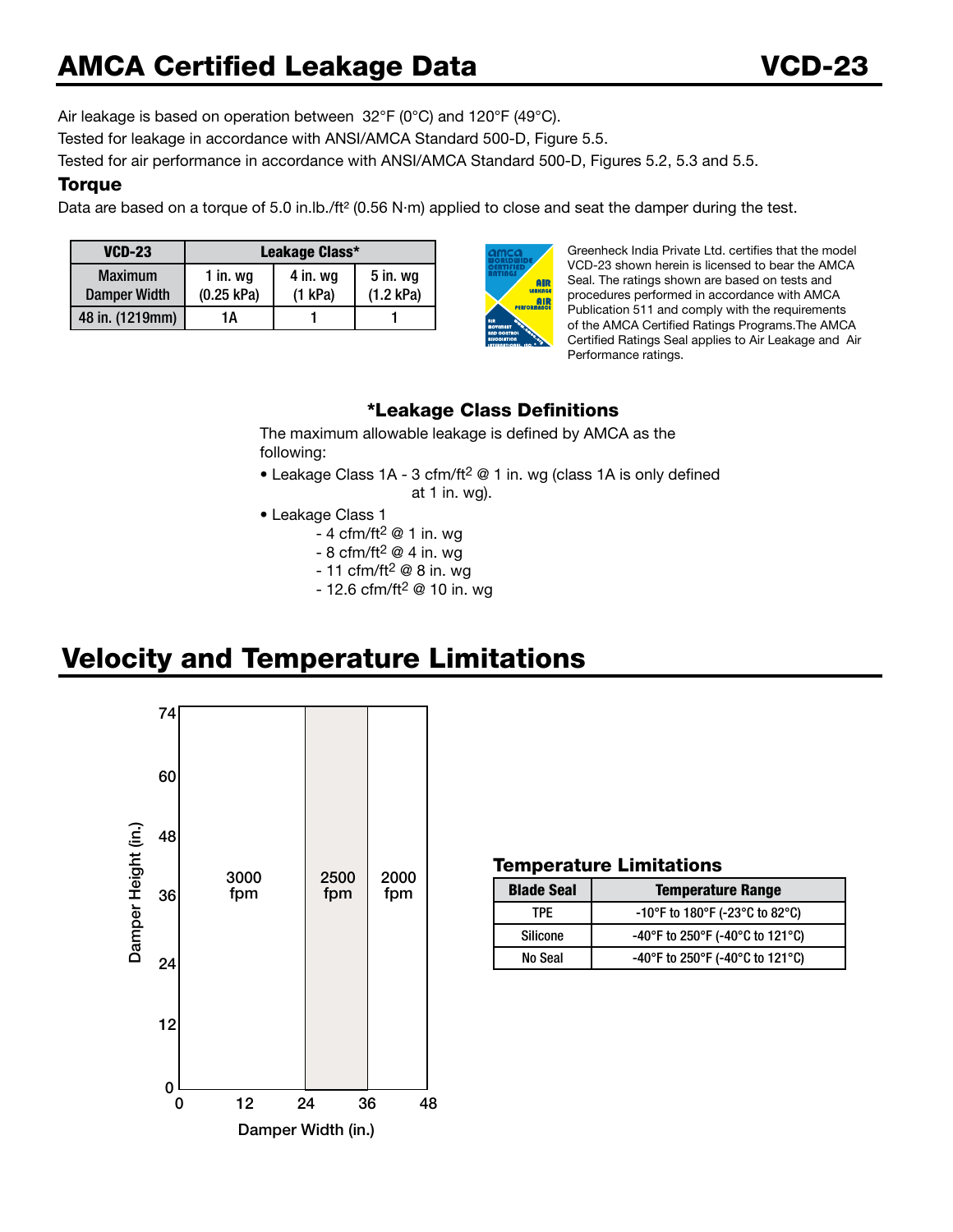Air leakage is based on operation between 32°F (0°C) and 120°F (49°C). Tested for leakage in accordance with ANSI/AMCA Standard 500-D, Figure 5.5.

Tested for air performance in accordance with ANSI/AMCA Standard 500-D, Figures 5.2, 5.3 and 5.5.

# **Torque**

Data are based on a torque of 5.0 in.lb./ft<sup>2</sup> (0.56 N·m) applied to close and seat the damper during the test.

| <b>VCD-23</b>                         | Leakage Class*           |                       |                       |  |
|---------------------------------------|--------------------------|-----------------------|-----------------------|--|
| <b>Maximum</b><br><b>Damper Width</b> | 1 in. $wg$<br>(0.25 kPa) | 4 in. wg<br>$(1$ kPa) | 5 in. wg<br>(1.2 kPa) |  |
| 48 in. (1219mm)                       | 1Α                       |                       |                       |  |



Greenheck India Private Ltd. certifies that the model VCD-23 shown herein is licensed to bear the AMCA Seal. The ratings shown are based on tests and procedures performed in accordance with AMCA Publication 511 and comply with the requirements of the AMCA Certified Ratings Programs.The AMCA Certified Ratings Seal applies to Air Leakage and Air Performance ratings.

# \*Leakage Class Definitions

The maximum allowable leakage is defined by AMCA as the following:

- Leakage Class 1A 3 cfm/ft<sup>2</sup> @ 1 in. wg (class 1A is only defined at 1 in. wg).
- Leakage Class 1
	- 4 cfm/ft<sup>2</sup>  $@$  1 in. wg
	- 8 cfm/ft<sup>2</sup>  $@$  4 in. wg
	- $-11$  cfm/ft<sup>2</sup> @ 8 in. wg
	- $-12.6$  cfm/ft<sup>2</sup> @ 10 in. wg



# Velocity and Temperature Limitations

### Temperature Limitations

| <b>Blade Seal</b> | <b>Temperature Range</b>        |  |  |
|-------------------|---------------------------------|--|--|
| TPF.              | -10°F to 180°F (-23°C to 82°C)  |  |  |
| <b>Silicone</b>   | -40°F to 250°F (-40°C to 121°C) |  |  |
| No Seal           | -40°F to 250°F (-40°C to 121°C) |  |  |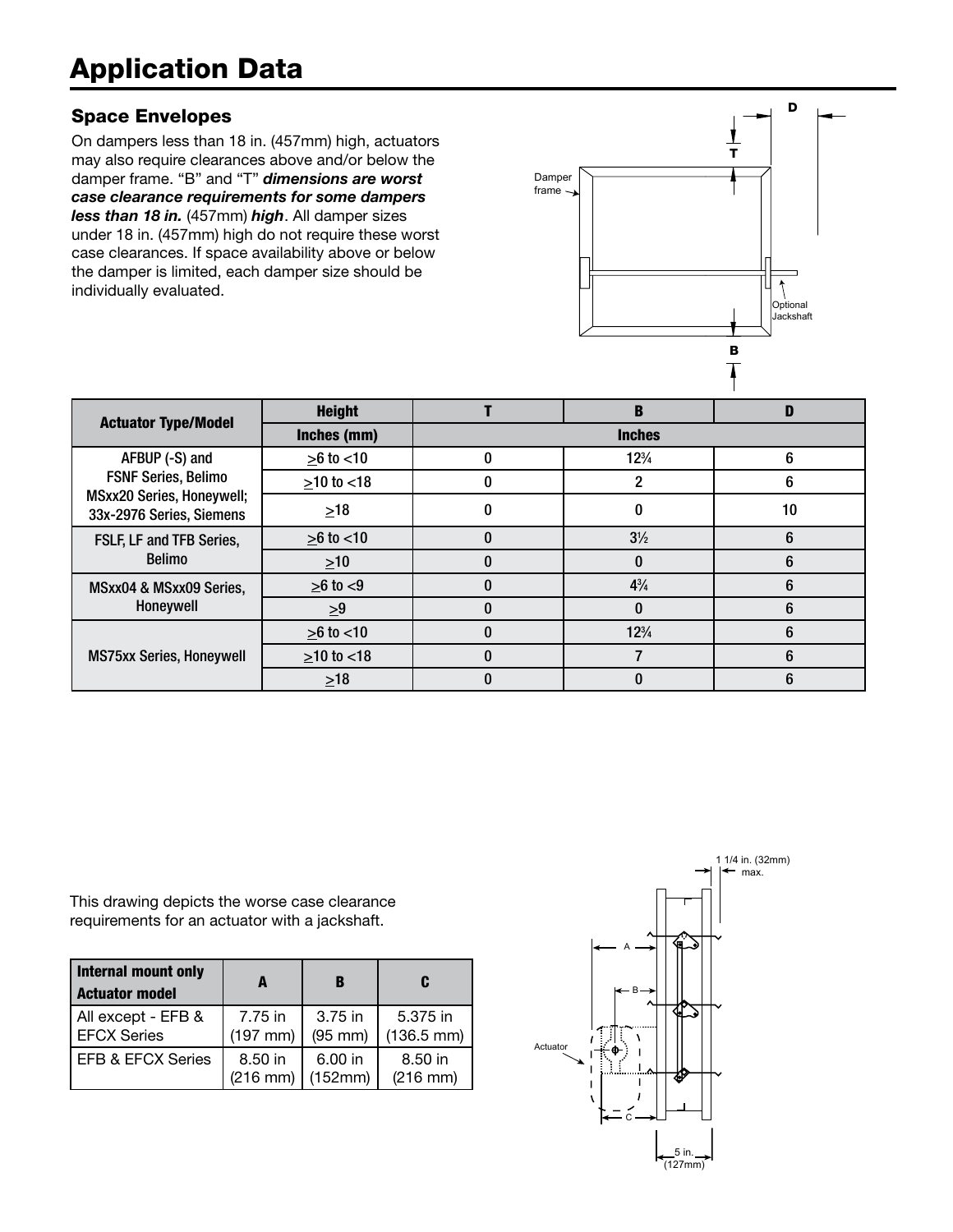# Application Data

# Space Envelopes

On dampers less than 18 in. (457mm) high, actuators may also require clearances above and/or below the damper frame. "B" and "T" *dimensions are worst case clearance requirements for some dampers less than 18 in.* (457mm) *high*. All damper sizes under 18 in. (457mm) high do not require these worst case clearances. If space availability above or below the damper is limited, each damper size should be individually evaluated.



| <b>Actuator Type/Model</b>                                                                                   | <b>Height</b>   |   | в               | D  |
|--------------------------------------------------------------------------------------------------------------|-----------------|---|-----------------|----|
|                                                                                                              | Inches (mm)     |   | <b>Inches</b>   |    |
| AFBUP (-S) and<br><b>FSNF Series, Belimo</b><br><b>MSxx20 Series, Honeywell;</b><br>33x-2976 Series, Siemens | $>6$ to $< 10$  |   | $12\frac{3}{4}$ | 6  |
|                                                                                                              | $>10$ to $< 18$ |   |                 | 6  |
|                                                                                                              | $\geq 18$       |   |                 | 10 |
| FSLF, LF and TFB Series,<br><b>Belimo</b>                                                                    | $>6$ to $< 10$  |   | $3\frac{1}{2}$  | 6  |
|                                                                                                              | $\geq 10$       |   | 0               | 6  |
| MSxx04 & MSxx09 Series,<br>Honeywell                                                                         | $>6$ to $<9$    |   | $4\frac{3}{4}$  | 6  |
|                                                                                                              | $\geq 9$        |   | 0               | 6  |
| <b>MS75xx Series, Honeywell</b>                                                                              | $>6$ to $< 10$  | ı | $12\frac{3}{4}$ | 6  |
|                                                                                                              | $>10$ to $< 18$ |   |                 | 6  |
|                                                                                                              | $>18$           |   | O               | 6  |

This drawing depicts the worse case clearance requirements for an actuator with a jackshaft.

| Internal mount only<br><b>Actuator model</b> | A             | В            | C                    |
|----------------------------------------------|---------------|--------------|----------------------|
| All except - EFB &                           | 7.75 in       | 3.75 in      | 5.375 in             |
| <b>EFCX Series</b>                           | $(197$ mm)    | $(95$ mm $)$ | $(136.5 \text{ mm})$ |
| EFB & EFCX Series                            | 8.50 in       | 6.00 in      | 8.50 in              |
|                                              | $(216$ mm $)$ | (152mm)      | $(216$ mm $)$        |